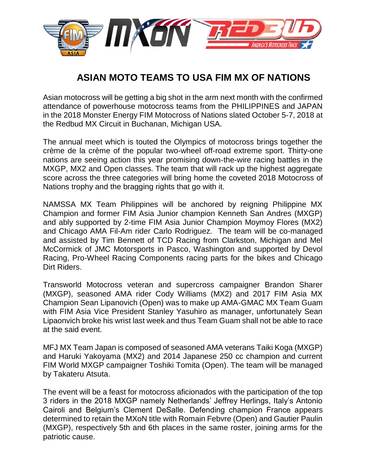

## **ASIAN MOTO TEAMS TO USA FIM MX OF NATIONS**

Asian motocross will be getting a big shot in the arm next month with the confirmed attendance of powerhouse motocross teams from the PHILIPPINES and JAPAN in the 2018 Monster Energy FIM Motocross of Nations slated October 5-7, 2018 at the Redbud MX Circuit in Buchanan, Michigan USA.

The annual meet which is touted the Olympics of motocross brings together the crème de la crème of the popular two-wheel off-road extreme sport. Thirty-one nations are seeing action this year promising down-the-wire racing battles in the MXGP, MX2 and Open classes. The team that will rack up the highest aggregate score across the three categories will bring home the coveted 2018 Motocross of Nations trophy and the bragging rights that go with it.

NAMSSA MX Team Philippines will be anchored by reigning Philippine MX Champion and former FIM Asia Junior champion Kenneth San Andres (MXGP) and ably supported by 2-time FIM Asia Junior Champion Moymoy Flores (MX2) and Chicago AMA Fil-Am rider Carlo Rodriguez. The team will be co-managed and assisted by Tim Bennett of TCD Racing from Clarkston, Michigan and Mel McCormick of JMC Motorsports in Pasco, Washington and supported by Devol Racing, Pro-Wheel Racing Components racing parts for the bikes and Chicago Dirt Riders.

Transworld Motocross veteran and supercross campaigner Brandon Sharer (MXGP), seasoned AMA rider Cody Williams (MX2) and 2017 FIM Asia MX Champion Sean Lipanovich (Open) was to make up AMA-GMAC MX Team Guam with FIM Asia Vice President Stanley Yasuhiro as manager, unfortunately Sean Lipaonvich broke his wrist last week and thus Team Guam shall not be able to race at the said event.

MFJ MX Team Japan is composed of seasoned AMA veterans Taiki Koga (MXGP) and Haruki Yakoyama (MX2) and 2014 Japanese 250 cc champion and current FIM World MXGP campaigner Toshiki Tomita (Open). The team will be managed by Takateru Atsuta.

The event will be a feast for motocross aficionados with the participation of the top 3 riders in the 2018 MXGP namely Netherlands' Jeffrey Herlings, Italy's Antonio Cairoli and Belgium's Clement DeSalle. Defending champion France appears determined to retain the MXoN title with Romain Febvre (Open) and Gautier Paulin (MXGP), respectively 5th and 6th places in the same roster, joining arms for the patriotic cause.